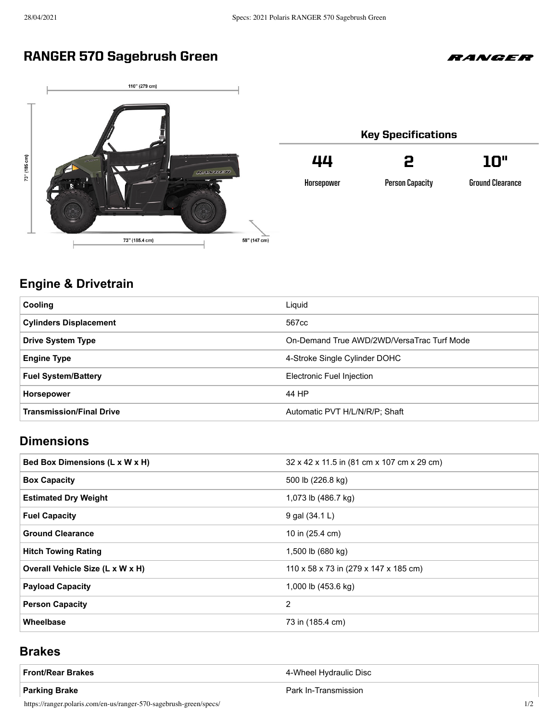# RANGER 570 Sagebrush Green





| <b>Key Specifications</b> |                        |                         |  |
|---------------------------|------------------------|-------------------------|--|
| 44                        | 2                      | יחו                     |  |
| Horsepower                | <b>Person Capacity</b> | <b>Ground Clearance</b> |  |

## **Engine & Drivetrain**

| <b>Cooling</b>                  | Liguid                                     |
|---------------------------------|--------------------------------------------|
| <b>Cylinders Displacement</b>   | 567cc                                      |
| <b>Drive System Type</b>        | On-Demand True AWD/2WD/VersaTrac Turf Mode |
| <b>Engine Type</b>              | 4-Stroke Single Cylinder DOHC              |
| <b>Fuel System/Battery</b>      | Electronic Fuel Injection                  |
| <b>Horsepower</b>               | 44 HP                                      |
| <b>Transmission/Final Drive</b> | Automatic PVT H/L/N/R/P; Shaft             |

### **Dimensions**

| Bed Box Dimensions (L x W x H)   | 32 x 42 x 11.5 in (81 cm x 107 cm x 29 cm) |
|----------------------------------|--------------------------------------------|
| <b>Box Capacity</b>              | 500 lb (226.8 kg)                          |
| <b>Estimated Dry Weight</b>      | 1,073 lb (486.7 kg)                        |
| <b>Fuel Capacity</b>             | 9 gal (34.1 L)                             |
| <b>Ground Clearance</b>          | 10 in (25.4 cm)                            |
| <b>Hitch Towing Rating</b>       | 1,500 lb (680 kg)                          |
| Overall Vehicle Size (L x W x H) | 110 x 58 x 73 in (279 x 147 x 185 cm)      |
| <b>Payload Capacity</b>          | 1,000 lb (453.6 kg)                        |
| <b>Person Capacity</b>           | 2                                          |
| Wheelbase                        | 73 in (185.4 cm)                           |

#### **Brakes**

| <b>Front/Rear Brakes</b>                                           | 4-Wheel Hydraulic Disc |  |
|--------------------------------------------------------------------|------------------------|--|
| <b>Parking Brake</b>                                               | Park In-Transmission   |  |
| https://ranger.polaris.com/en-us/ranger-570-sagebrush-green/specs/ |                        |  |